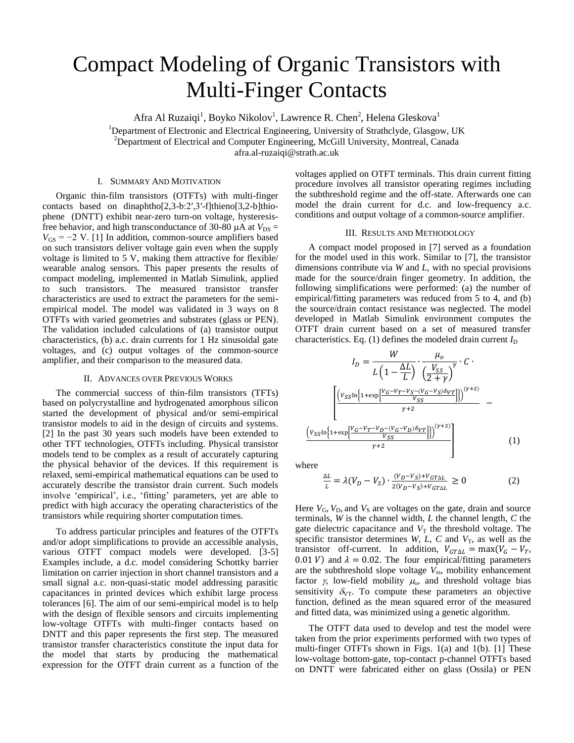# Compact Modeling of Organic Transistors with Multi-Finger Contacts

Afra Al Ruzaiqi<sup>1</sup>, Boyko Nikolov<sup>1</sup>, Lawrence R. Chen<sup>2</sup>, Helena Gleskova<sup>1</sup> <sup>1</sup>Department of Electronic and Electrical Engineering, University of Strathclyde, Glasgow, UK <sup>2</sup>Department of Electrical and Computer Engineering, McGill University, Montreal, Canada afra.al-ruzaiqi@strath.ac.uk

## I. SUMMARY AND MOTIVATION

Organic thin-film transistors (OTFTs) with multi-finger contacts based on dinaphtho[2,3-b:2′,3′-f]thieno[3,2-b]thiophene (DNTT) exhibit near-zero turn-on voltage, hysteresisfree behavior, and high transconductance of 30-80  $\mu$ A at  $V_{DS}$  =  $V_{GS}$  = −2 V. [1] In addition, common-source amplifiers based on such transistors deliver voltage gain even when the supply voltage is limited to 5 V, making them attractive for flexible/ wearable analog sensors. This paper presents the results of compact modeling, implemented in Matlab Simulink, applied to such transistors. The measured transistor transfer characteristics are used to extract the parameters for the semiempirical model. The model was validated in 3 ways on 8 OTFTs with varied geometries and substrates (glass or PEN). The validation included calculations of (a) transistor output characteristics, (b) a.c. drain currents for 1 Hz sinusoidal gate voltages, and (c) output voltages of the common-source amplifier, and their comparison to the measured data.

#### II. ADVANCES OVER PREVIOUS WORKS

The commercial success of thin-film transistors (TFTs) based on polycrystalline and hydrogenated amorphous silicon started the development of physical and/or semi-empirical transistor models to aid in the design of circuits and systems. [2] In the past 30 years such models have been extended to other TFT technologies, OTFTs including. Physical transistor models tend to be complex as a result of accurately capturing the physical behavior of the devices. If this requirement is relaxed, semi-empirical mathematical equations can be used to accurately describe the transistor drain current. Such models involve 'empirical', i.e., 'fitting' parameters, yet are able to predict with high accuracy the operating characteristics of the transistors while requiring shorter computation times.

To address particular principles and features of the OTFTs and/or adopt simplifications to provide an accessible analysis, various OTFT compact models were developed. [3-5] Examples include, a d.c. model considering Schottky barrier limitation on carrier injection in short channel transistors and a small signal a.c. non-quasi-static model addressing parasitic capacitances in printed devices which exhibit large process tolerances [6]. The aim of our semi-empirical model is to help with the design of flexible sensors and circuits implementing low-voltage OTFTs with multi-finger contacts based on DNTT and this paper represents the first step. The measured transistor transfer characteristics constitute the input data for the model that starts by producing the mathematical expression for the OTFT drain current as a function of the voltages applied on OTFT terminals. This drain current fitting procedure involves all transistor operating regimes including the subthreshold regime and the off-state. Afterwards one can model the drain current for d.c. and low-frequency a.c. conditions and output voltage of a common-source amplifier.

# III. RESULTS AND METHODOLOGY

A compact model proposed in [7] served as a foundation for the model used in this work. Similar to [7], the transistor dimensions contribute via *W* and *L*, with no special provisions made for the source/drain finger geometry. In addition, the following simplifications were performed: (a) the number of empirical/fitting parameters was reduced from 5 to 4, and (b) the source/drain contact resistance was neglected. The model developed in Matlab Simulink environment computes the OTFT drain current based on a set of measured transfer characteristics. Eq.  $(1)$  defines the modeled drain current  $I_D$ 

$$
I_{D} = \frac{W}{L \left(1 - \frac{\Delta L}{L}\right)} \cdot \frac{\mu_{o}}{\left(\frac{V_{SS}}{2 + \gamma}\right)^{\gamma}} \cdot C \cdot \frac{\left[\left(V_{SS} \ln\left(1 + \exp\left[\frac{V_{G} - V_{T} - V_{S} - (V_{G} - V_{S}) \delta_{VT}}{V_{SS}}\right]\right)\right)^{(\gamma + 2)}}{\gamma + 2} - \frac{\left(\frac{V_{SS} \ln\left\{1 + \exp\left[\frac{V_{G} - V_{T} - V_{D} - (V_{G} - V_{D}) \delta_{VT}}{V_{SS}}\right]\right\}\right)^{(\gamma + 2)}}{\gamma + 2}\right]}{(1)}
$$

where

$$
\frac{\Delta L}{L} = \lambda (V_D - V_S) \cdot \frac{(V_D - V_S) + V_{GT\Delta L}}{2(V_D - V_S) + V_{GT\Delta L}} \ge 0
$$
\n(2)

Here  $V_G$ ,  $V_D$ , and  $V_S$  are voltages on the gate, drain and source terminals, *W* is the channel width, *L* the channel length, *C* the gate dielectric capacitance and  $V<sub>T</sub>$  the threshold voltage. The specific transistor determines *W*, *L*, *C* and  $V_T$ , as well as the transistor off-current. In addition,  $V_{GT\Delta L} = \max(V_G - V_T)$ , 0.01 V) and  $\lambda = 0.02$ . The four empirical/fitting parameters are the subthreshold slope voltage  $V_{ss}$ , mobility enhancement factor  $\gamma$ , low-field mobility  $\mu_0$ , and threshold voltage bias sensitivity  $\delta_{\text{VT}}$ . To compute these parameters an objective function, defined as the mean squared error of the measured and fitted data, was minimized using a genetic algorithm.

The OTFT data used to develop and test the model were taken from the prior experiments performed with two types of multi-finger OTFTs shown in Figs. 1(a) and 1(b). [1] These low-voltage bottom-gate, top-contact p-channel OTFTs based on DNTT were fabricated either on glass (Ossila) or PEN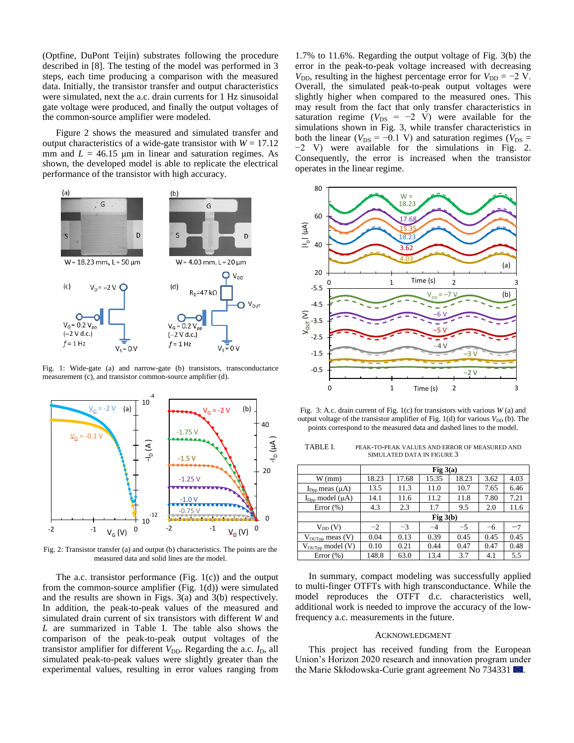(Optfine, DuPont Teijin) substrates following the procedure described in [8]. The testing of the model was performed in 3 steps, each time producing a comparison with the measured data. Initially, the transistor transfer and output characteristics were simulated, next the a.c. drain currents for 1 Hz sinusoidal gate voltage were produced, and finally the output voltages of the common-source amplifier were modeled.

Figure 2 shows the measured and simulated transfer and output characteristics of a wide-gate transistor with  $W = 17.12$ mm and  $L = 46.15$  µm in linear and saturation regimes. As shown, the developed model is able to replicate the electrical performance of the transistor with high accuracy.



Fig. 1: Wide-gate (a) and narrow-gate (b) transistors, transconductance measurement (c), and transistor common-source amplifier (d).



Fig. 2: Transistor transfer (a) and output (b) characteristics. The points are the measured data and solid lines are the model.

The a.c. transistor performance (Fig. 1(c)) and the output from the common-source amplifier (Fig. 1(d)) were simulated and the results are shown in Figs. 3(a) and 3(b) respectively. In addition, the peak-to-peak values of the measured and simulated drain current of six transistors with different *W* and *L* are summarized in Table I. The table also shows the comparison of the peak-to-peak output voltages of the transistor amplifier for different  $V_{DD}$ . Regarding the a.c.  $I_D$ , all simulated peak-to-peak values were slightly greater than the experimental values, resulting in error values ranging from

1.7% to 11.6%. Regarding the output voltage of Fig. 3(b) the error in the peak-to-peak voltage increased with decreasing *V*<sub>DD</sub>, resulting in the highest percentage error for  $V_{DD} = -2$  V. Overall, the simulated peak-to-peak output voltages were slightly higher when compared to the measured ones. This may result from the fact that only transfer characteristics in saturation regime ( $V_{DS} = -2$  V) were available for the simulations shown in Fig. 3, while transfer characteristics in both the linear ( $V_{DS} = -0.1$  V) and saturation regimes ( $V_{DS} =$ −2 V) were available for the simulations in Fig. 2. Consequently, the error is increased when the transistor operates in the linear regime.



Fig. 3: A.c. drain current of Fig. 1(c) for transistors with various *W* (a) and output voltage of the transistor amplifier of Fig. 1(d) for various  $V_{\text{DD}}$  (b). The points correspond to the measured data and dashed lines to the model.

| TABLE L | PEAK-TO-PEAK VALUES AND ERROR OF MEASURED AND |
|---------|-----------------------------------------------|
|         | SIMULATED DATA IN FIGURE 3                    |

|                                  | Fig $3(a)$ |       |       |       |      |      |
|----------------------------------|------------|-------|-------|-------|------|------|
| $W$ (mm)                         | 18.23      | 17.68 | 15.35 | 18.23 | 3.62 | 4.03 |
| $I_{\text{Dop}}$ meas ( $\mu$ A) | 13.5       | 11.3  | 11.0  | 10.7  | 7.65 | 6.46 |
| $I_{\text{Dop}}$ model $(\mu A)$ | 14.1       | 11.6  | 11.2  | 11.8  | 7.80 | 7.21 |
| Error $(\% )$                    | 4.3        | 2.3   | 1.7   | 9.5   | 2.0  | 11.6 |
|                                  | Fig $3(b)$ |       |       |       |      |      |
| $V_{DD}(V)$                      | $-2$       | $-3$  | $-4$  | $-5$  | -6   | -7   |
| $V_{\text{OUTpp}}$ meas (V)      | 0.04       | 0.13  | 0.39  | 0.45  | 0.45 | 0.45 |
| V <sub>OUTpp</sub> model (V)     | 0.10       | 0.21  | 0.44  | 0.47  | 0.47 | 0.48 |
| Error $(\%)$                     | 148.8      | 63.0  | 13.4  | 3.7   | 4.1  | 5.5  |

In summary, compact modeling was successfully applied to multi-finger OTFTs with high transconductance. While the model reproduces the OTFT d.c. characteristics well, additional work is needed to improve the accuracy of the lowfrequency a.c. measurements in the future.

### ACKNOWLEDGMENT

This project has received funding from the European Union's Horizon 2020 research and innovation program under the Marie Skłodowska-Curie grant agreement No 734331 ...